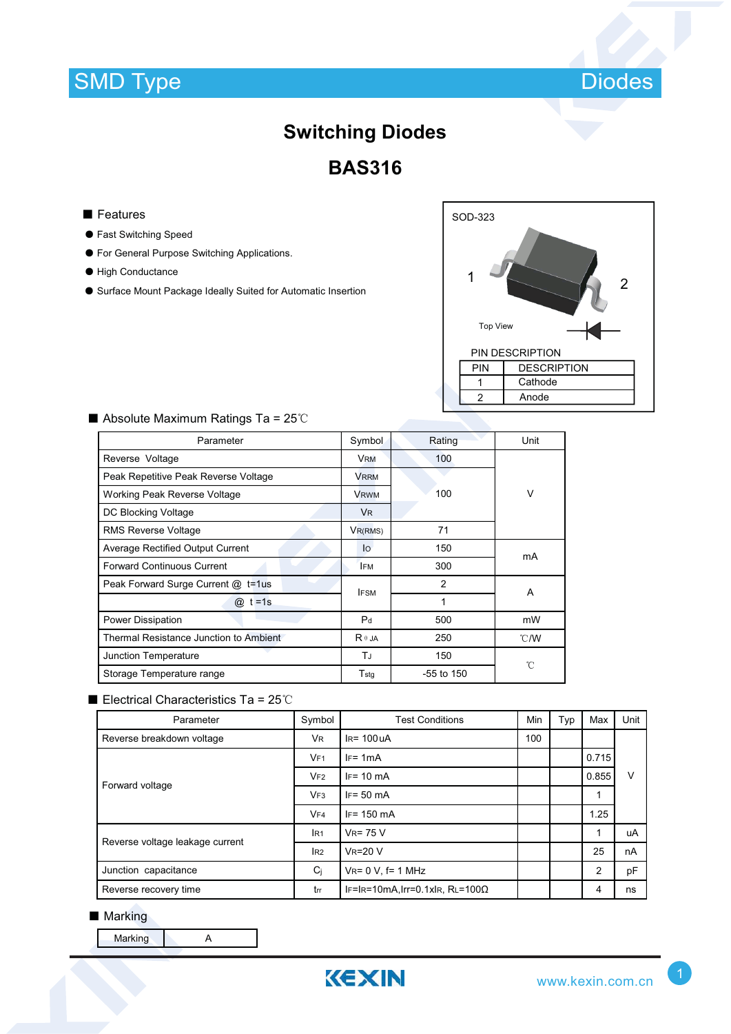## **SMD Type**



# **Switching Diodes**

**BAS316**

- Features
- ƽ Fast Switching Speed
- ƽ For General Purpose Switching Applications.
- ƽ High Conductance
- ƽ Surface Mount Package Ideally Suited for Automatic Insertion

| SOD-323<br>2           |                    |  |  |  |  |  |
|------------------------|--------------------|--|--|--|--|--|
| <b>Top View</b>        |                    |  |  |  |  |  |
| <b>PIN DESCRIPTION</b> |                    |  |  |  |  |  |
| PIN                    | <b>DESCRIPTION</b> |  |  |  |  |  |
|                        | Cathode            |  |  |  |  |  |
| $\overline{2}$         | Anode              |  |  |  |  |  |
|                        |                    |  |  |  |  |  |

| Parameter                              | Symbol         | Rating         | Unit   |  |
|----------------------------------------|----------------|----------------|--------|--|
| Reverse Voltage                        | <b>VRM</b>     | 100            |        |  |
| Peak Repetitive Peak Reverse Voltage   | <b>VRRM</b>    |                |        |  |
| Working Peak Reverse Voltage           | <b>VRWM</b>    | 100            | $\vee$ |  |
| DC Blocking Voltage                    | V <sub>R</sub> |                |        |  |
| <b>RMS Reverse Voltage</b>             | $V_{R(RMS)}$   | 71             |        |  |
| Average Rectified Output Current       | $I_{\Omega}$   | 150            | mA     |  |
| <b>Forward Continuous Current</b>      | <b>IFM</b>     | 300            |        |  |
| Peak Forward Surge Current @ t=1us     | <b>IFSM</b>    | $\overline{2}$ | A      |  |
| $t = 1s$<br>$\omega$                   |                | 1              |        |  |
| Power Dissipation                      | P <sub>d</sub> | 500            | mW     |  |
| Thermal Resistance Junction to Ambient | $R \theta$ JA  | 250            | °C/W   |  |
| Junction Temperature                   | TJ             | 150            | °C     |  |
| Storage Temperature range              | $T_{\rm stq}$  | $-55$ to 150   |        |  |

#### $\blacksquare$  Absolute Maximum Ratings Ta = 25°C

#### Electrical Characteristics Ta =  $25^{\circ}$ C

| Parameter                       | Symbol          | <b>Test Conditions</b>                  | Min | Typ | Max            | Unit |  |
|---------------------------------|-----------------|-----------------------------------------|-----|-----|----------------|------|--|
| Reverse breakdown voltage       | <b>VR</b>       | $IR = 100UA$                            |     |     |                |      |  |
| Forward voltage                 | VF1             | $IF = 1mA$                              |     |     | 0.715          |      |  |
|                                 | VF2             | $IF = 10 mA$                            |     |     | 0.855          | v    |  |
|                                 | VF3             | $IF = 50 mA$                            |     |     | 1              |      |  |
|                                 | VF4             | $IF = 150 mA$                           |     |     | 1.25           |      |  |
| Reverse voltage leakage current | IR <sub>1</sub> | $V_R = 75 V$                            |     |     | 1              | uA   |  |
|                                 | IR2             | <b>VR=20 V</b>                          |     |     | 25             | nA   |  |
| Junction capacitance            | Ci              | $V_{R} = 0 V$ , f= 1 MHz                |     |     | $\overline{2}$ | pF   |  |
| Reverse recovery time           | trr             | IF=IR=10mA, Irr=0.1xIR, RL=100 $\Omega$ |     |     | 4              | ns   |  |

#### ■ Marking

Marking **A**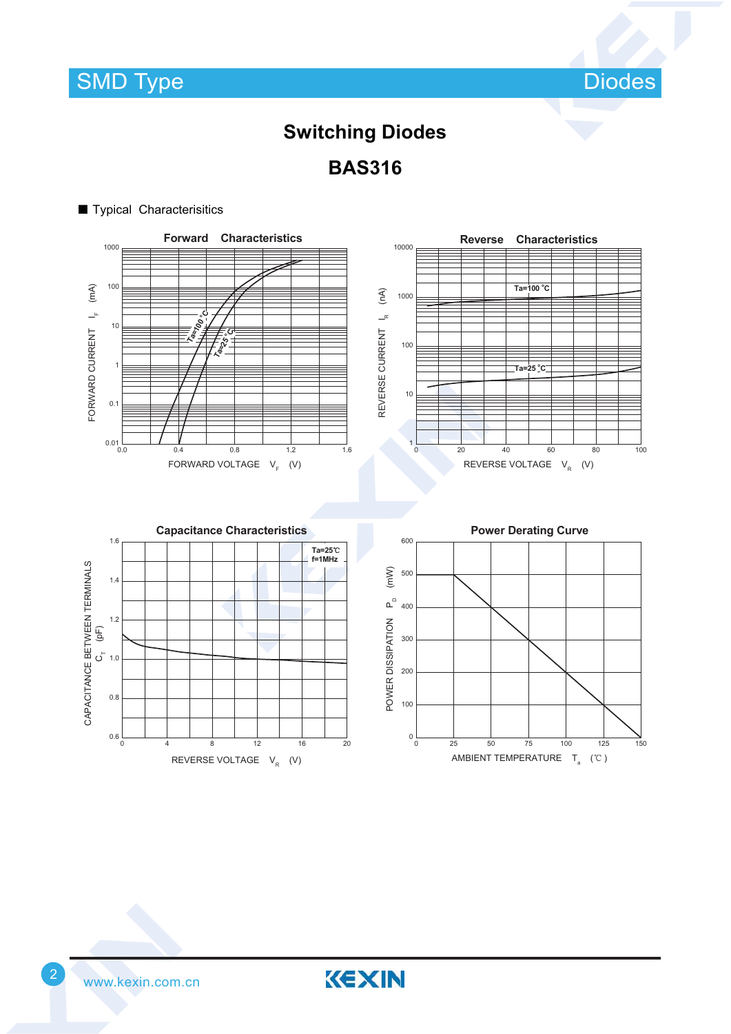**SMD Type** 

Diodes

## **Switching Diodes**

**BAS316**